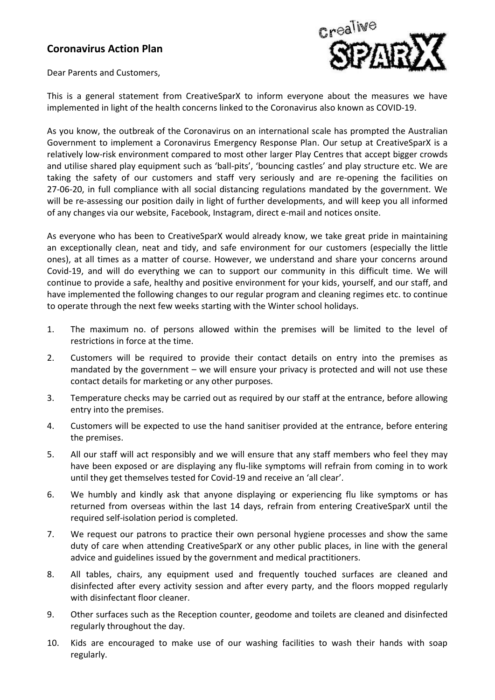## **Coronavirus Action Plan**



Dear Parents and Customers,

This is a general statement from CreativeSparX to inform everyone about the measures we have implemented in light of the health concerns linked to the Coronavirus also known as COVID-19.

As you know, the outbreak of the Coronavirus on an international scale has prompted the Australian Government to implement a Coronavirus Emergency Response Plan. Our setup at CreativeSparX is a relatively low-risk environment compared to most other larger Play Centres that accept bigger crowds and utilise shared play equipment such as 'ball-pits', 'bouncing castles' and play structure etc. We are taking the safety of our customers and staff very seriously and are re-opening the facilities on 27-06-20, in full compliance with all social distancing regulations mandated by the government. We will be re-assessing our position daily in light of further developments, and will keep you all informed of any changes via our website, Facebook, Instagram, direct e-mail and notices onsite.

As everyone who has been to CreativeSparX would already know, we take great pride in maintaining an exceptionally clean, neat and tidy, and safe environment for our customers (especially the little ones), at all times as a matter of course. However, we understand and share your concerns around Covid-19, and will do everything we can to support our community in this difficult time. We will continue to provide a safe, healthy and positive environment for your kids, yourself, and our staff, and have implemented the following changes to our regular program and cleaning regimes etc. to continue to operate through the next few weeks starting with the Winter school holidays.

- 1. The maximum no. of persons allowed within the premises will be limited to the level of restrictions in force at the time.
- 2. Customers will be required to provide their contact details on entry into the premises as mandated by the government – we will ensure your privacy is protected and will not use these contact details for marketing or any other purposes.
- 3. Temperature checks may be carried out as required by our staff at the entrance, before allowing entry into the premises.
- 4. Customers will be expected to use the hand sanitiser provided at the entrance, before entering the premises.
- 5. All our staff will act responsibly and we will ensure that any staff members who feel they may have been exposed or are displaying any flu-like symptoms will refrain from coming in to work until they get themselves tested for Covid-19 and receive an 'all clear'.
- 6. We humbly and kindly ask that anyone displaying or experiencing flu like symptoms or has returned from overseas within the last 14 days, refrain from entering CreativeSparX until the required self-isolation period is completed.
- 7. We request our patrons to practice their own personal hygiene processes and show the same duty of care when attending CreativeSparX or any other public places, in line with the general advice and guidelines issued by the government and medical practitioners.
- 8. All tables, chairs, any equipment used and frequently touched surfaces are cleaned and disinfected after every activity session and after every party, and the floors mopped regularly with disinfectant floor cleaner.
- 9. Other surfaces such as the Reception counter, geodome and toilets are cleaned and disinfected regularly throughout the day.
- 10. Kids are encouraged to make use of our washing facilities to wash their hands with soap regularly.